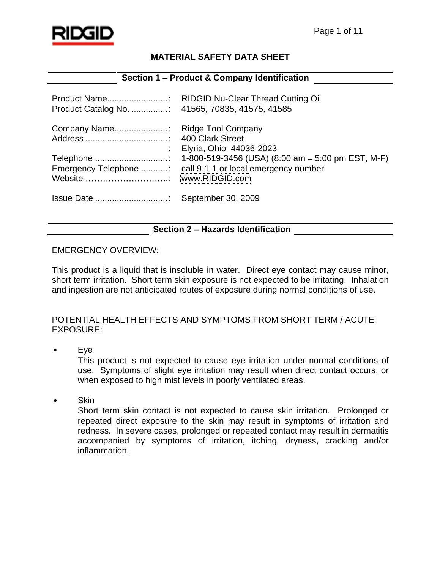

# **MATERIAL SAFETY DATA SHEET**

## **Section 1 – Product & Company Identification**

| <b>RIDGID Nu-Clear Thread Cutting Oil</b><br>41565, 70835, 41575, 41585 |  |
|-------------------------------------------------------------------------|--|
|                                                                         |  |
| <b>Ridge Tool Company</b>                                               |  |
| 400 Clark Street                                                        |  |
| Elyria, Ohio 44036-2023                                                 |  |
| 1-800-519-3456 (USA) (8:00 am – 5:00 pm EST, M-F)                       |  |
| Emergency Telephone :<br>call 9-1-1 or local emergency number           |  |
| www.RIDGID.com                                                          |  |
|                                                                         |  |
| September 30, 2009                                                      |  |

# **Section 2 – Hazards Identification**

#### EMERGENCY OVERVIEW:

This product is a liquid that is insoluble in water. Direct eye contact may cause minor, short term irritation. Short term skin exposure is not expected to be irritating. Inhalation and ingestion are not anticipated routes of exposure during normal conditions of use.

## POTENTIAL HEALTH EFFECTS AND SYMPTOMS FROM SHORT TERM / ACUTE EXPOSURE:

 $\bullet$ Eye

This product is not expected to cause eye irritation under normal conditions of use. Symptoms of slight eye irritation may result when direct contact occurs, or when exposed to high mist levels in poorly ventilated areas.

Skin **Skin** and the state of the state of the state of the state of the state of the state of the state of the state of the state of the state of the state of the state of the state of the state of the state of the state o  $\bullet$ 

Short term skin contact is not expected to cause skin irritation. Prolonged or repeated direct exposure to the skin may result in symptoms of irritation and redness. In severe cases, prolonged or repeated contact may result in dermatitis accompanied by symptoms of irritation, itching, dryness, cracking and/or inflammation.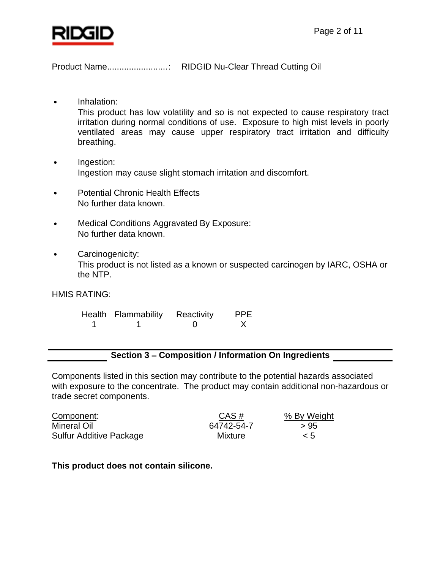

- $\bullet$ Inhalation: with the contract of the contract of the contract of the contract of the contract of the contract of the contract of the contract of the contract of the contract of the contract of the contract of the contract This product has low volatility and so is not expected to cause respiratory tract irritation during normal conditions of use. Exposure to high mist levels in poorly ventilated areas may cause upper respiratory tract irritation and difficulty breathing.
- $\bullet$ Ingestion: Ingestion may cause slight stomach irritation and discomfort.
- Potential Chronic Health Effects No further data known.
- Medical Conditions Aggravated By Exposure:  $\bullet$ No further data known.
- Carcinogenicity: This product is not listed as a known or suspected carcinogen by IARC, OSHA or the NTP.

HMIS RATING:

Health Flammability Reactivity PPE 1 1 0 X

# **Section 3 Composition / Information On Ingredients**

Components listed in this section may contribute to the potential hazards associated with exposure to the concentrate. The product may contain additional non-hazardous or trade secret components.

| Component:                     | <u>CAS #</u> | .<br>$\sim$ $\sim$<br>≒Bv Weiɑ∟ |  |
|--------------------------------|--------------|---------------------------------|--|
| <b>Mineral Oil</b>             | 64742-54-7   |                                 |  |
| <b>Sulfur Additive Package</b> | Mixture      |                                 |  |

## **This product does not contain silicone.**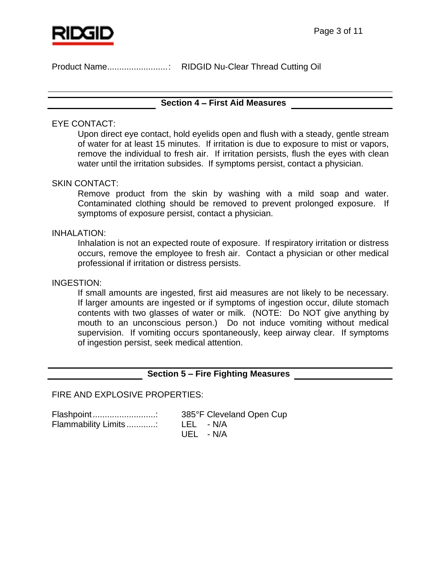

### **Section 4 First Aid Measures**

#### EYE CONTACT:

Upon direct eye contact, hold eyelids open and flush with a steady, gentle stream of water for at least 15 minutes. If irritation is due to exposure to mist or vapors, remove the individual to fresh air. If irritation persists, flush the eyes with clean water until the irritation subsides. If symptoms persist, contact a physician.

#### SKIN CONTACT:

Remove product from the skin by washing with a mild soap and water. Contaminated clothing should be removed to prevent prolonged exposure. If symptoms of exposure persist, contact a physician.

#### INHALATION:

Inhalation is not an expected route of exposure. If respiratory irritation or distress occurs, remove the employee to fresh air. Contact a physician or other medical professional if irritation or distress persists.

#### INGESTION:

If small amounts are ingested, first aid measures are not likely to be necessary. If larger amounts are ingested or if symptoms of ingestion occur, dilute stomach contents with two glasses of water or milk. (NOTE: Do NOT give anything by mouth to an unconscious person.) Do not induce vomiting without medical supervision. If vomiting occurs spontaneously, keep airway clear. If symptoms of ingestion persist, seek medical attention.

## **Section 5 Fire Fighting Measures**

FIRE AND EXPLOSIVE PROPERTIES:

Flashpoint..........................: 385°F Cleveland Open Cup Flammability Limits ............: LEL - N/A UEL - N/A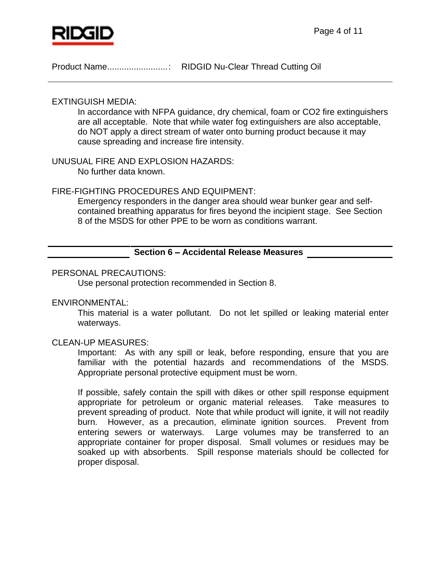

#### EXTINGUISH MEDIA:

In accordance with NFPA guidance, dry chemical, foam or CO2 fire extinguishers are all acceptable. Note that while water fog extinguishers are also acceptable, do NOT apply a direct stream of water onto burning product because it may cause spreading and increase fire intensity.

## UNUSUAL FIRE AND EXPLOSION HAZARDS:

No further data known.

## FIRE-FIGHTING PROCEDURES AND EQUIPMENT:

Emergency responders in the danger area should wear bunker gear and self contained breathing apparatus for fires beyond the incipient stage. See Section 8 of the MSDS for other PPE to be worn as conditions warrant.

## **Section 6 Accidental Release Measures**

#### PERSONAL PRECAUTIONS:

Use personal protection recommended in Section 8.

## ENVIRONMENTAL:

This material is a water pollutant. Do not let spilled or leaking material enter waterways. The contract of the contract of the contract of the contract of the contract of the contract of the contract of the contract of the contract of the contract of the contract of the contract of the contract of the

## CLEAN-UP MEASURES:

Important: As with any spill or leak, before responding, ensure that you are familiar with the potential hazards and recommendations of the MSDS. Appropriate personal protective equipment must be worn.

If possible, safely contain the spill with dikes or other spill response equipment appropriate for petroleum or organic material releases. Take measures to prevent spreading of product. Note that while product will ignite, it will not readily burn. However, as a precaution, eliminate ignition sources. Prevent from entering sewers or waterways. Large volumes may be transferred to an appropriate container for proper disposal. Small volumes or residues may be soaked up with absorbents. Spill response materials should be collected for proper disposal.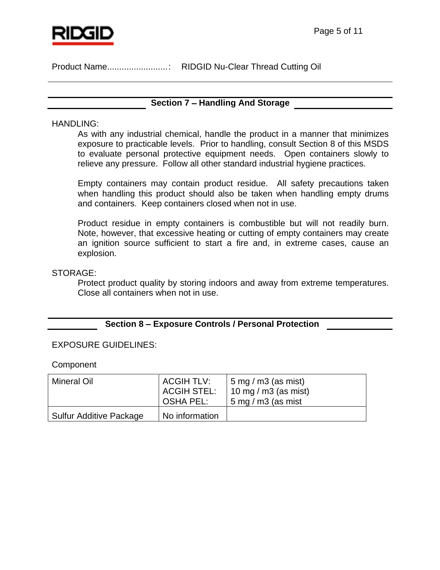

## **Section 7 - Handling And Storage**

HANDLING:

As with any industrial chemical, handle the product in a manner that minimizes exposure to practicable levels. Prior to handling, consult Section 8 of this MSDS to evaluate personal protective equipment needs. Open containers slowly to relieve any pressure. Follow all other standard industrial hygiene practices.

Empty containers may contain product residue. All safety precautions taken when handling this product should also be taken when handling empty drums and containers. Keep containers closed when not in use.

Product residue in empty containers is combustible but will not readily burn. Note, however, that excessive heating or cutting of empty containers may create an ignition source sufficient to start a fire and, in extreme cases, cause an explosion.

STORAGE:

Protect product quality by storing indoors and away from extreme temperatures. Close all containers when not in use.

#### **Section 8 Exposure Controls / Personal Protection**

#### EXPOSURE GUIDELINES:

Component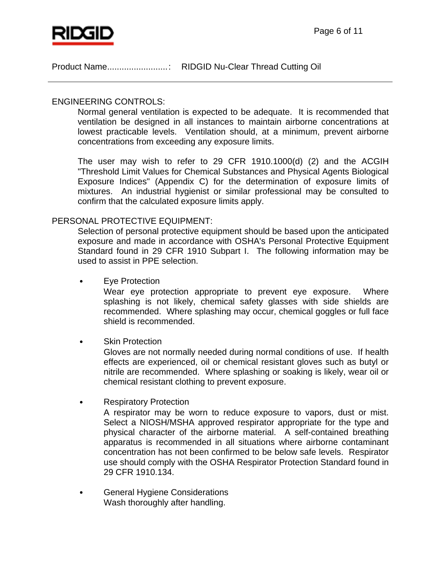

## ENGINEERING CONTROLS:

Normal general ventilation is expected to be adequate. It is recommended that ventilation be designed in all instances to maintain airborne concentrations at lowest practicable levels. Ventilation should, at a minimum, prevent airborne concentrations from exceeding any exposure limits.

The user may wish to refer to 29 CFR 1910.1000(d) (2) and the ACGIH "Threshold Limit Values for Chemical Substances and Physical Agents Biological Exposure Indices" (Appendix C) for the determination of exposure limits of mixtures. An industrial hygienist or similar professional may be consulted to confirm that the calculated exposure limits apply.

## PERSONAL PROTECTIVE EQUIPMENT:

Selection of personal protective equipment should be based upon the anticipated exposure and made in accordance with OSHA's Personal Protective Equipment Standard found in 29 CFR 1910 Subpart I. The following information may be used to assist in PPE selection.

 $\bullet$ Eye Protection

Wear eye protection appropriate to prevent eye exposure. Where splashing is not likely, chemical safety glasses with side shields are recommended. Where splashing may occur, chemical goggles or full face shield is recommended.

 $\bullet$ Skin Protection **Example 2018** Share and the second state of the second state  $\mathbb{R}^n$ 

Gloves are not normally needed during normal conditions of use. If health effects are experienced, oil or chemical resistant gloves such as butyl or nitrile are recommended. Where splashing or soaking is likely, wear oil or chemical resistant clothing to prevent exposure.

Respiratory Protection **Executive Service Contract Contract Contract Contract Contract Contract Contract Contract Contract Contract Contract Contract Contract Contract Contract Contract Contract Contract Contract Contract**  $\bullet$ 

A respirator may be worn to reduce exposure to vapors, dust or mist. Select a NIOSH/MSHA approved respirator appropriate for the type and physical character of the airborne material. A self-contained breathing apparatus is recommended in all situations where airborne contaminant concentration has not been confirmed to be below safe levels. Respirator use should comply with the OSHA Respirator Protection Standard found in 29 CFR 1910.134.

General Hygiene Considerations  $\bullet$ Wash thoroughly after handling.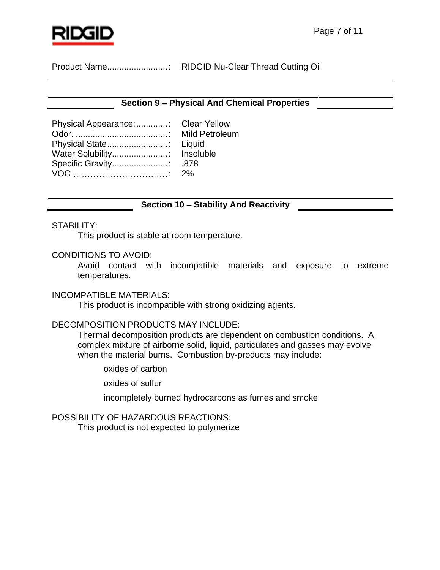

### **Section 9 Physical And Chemical Properties**

| Physical Appearance: : Clear Yellow |  |  |  |
|-------------------------------------|--|--|--|
|                                     |  |  |  |
|                                     |  |  |  |
|                                     |  |  |  |
|                                     |  |  |  |
|                                     |  |  |  |

## **Section 10 - Stability And Reactivity**

#### STABILITY:

This product is stable at room temperature.

#### CONDITIONS TO AVOID:

Avoid contact with incompatible materials and exposure to extreme temperatures.

#### INCOMPATIBLE MATERIALS:

This product is incompatible with strong oxidizing agents.

#### DECOMPOSITION PRODUCTS MAY INCLUDE:

Thermal decomposition products are dependent on combustion conditions. A complex mixture of airborne solid, liquid, particulates and gasses may evolve when the material burns. Combustion by-products may include:

oxides of carbon

oxides of sulfur

incompletely burned hydrocarbons as fumes and smoke

POSSIBILITY OF HAZARDOUS REACTIONS: This product is not expected to polymerize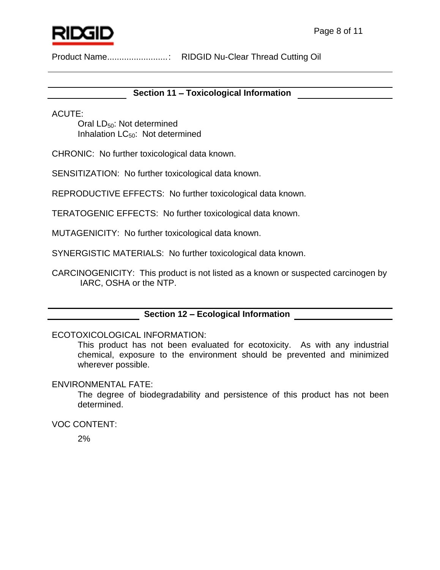

## **Section 11 Toxicological Information**

ACUTE:

 $O$ ral LD<sub>50</sub>: Not determined  $O$ Inhalation  $LC_{50}$ : Not determined

CHRONIC: No further toxicological data known.

SENSITIZATION: No further toxicological data known.

REPRODUCTIVE EFFECTS: No further toxicological data known.

TERATOGENIC EFFECTS: No further toxicological data known.

MUTAGENICITY: No further toxicological data known.

SYNERGISTIC MATERIALS: No further toxicological data known.

CARCINOGENICITY: This product is not listed as a known or suspected carcinogen by IARC, OSHA or the NTP.

# **Section 12 - Ecological Information**

## ECOTOXICOLOGICAL INFORMATION:

This product has not been evaluated for ecotoxicity. Aswith any industrial chemical, exposure to the environment should be prevented and minimized wherever possible.

## ENVIRONMENTAL FATE:

The degree of biodegradability and persistence of this product has not been determined.

VOC CONTENT:

2%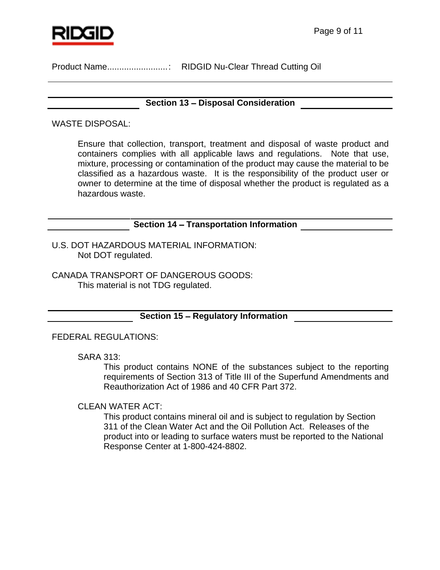

#### **Section 13 - Disposal Consideration**

WASTE DISPOSAL:

Ensure that collection, transport, treatment and disposal of waste product and containers complies with all applicable laws and regulations. Note that use, mixture, processing or contamination of the product may cause the material to be classified as a hazardous waste. It is the responsibility of the product user or owner to determine at the time of disposal whether the product is regulated as a hazardous waste.

## **Section 14 Transportation Information**

U.S. DOT HAZARDOUS MATERIAL INFORMATION: Not DOT regulated.

CANADA TRANSPORT OF DANGEROUS GOODS: This material is not TDG regulated.

**Section 15 - Regulatory Information** 

FEDERAL REGULATIONS:

SARA 313:

This product contains NONE of the substances subject to the reporting requirements of Section 313 of Title III of the Superfund Amendments and Reauthorization Act of 1986 and 40 CFR Part 372.

#### CLEAN WATER ACT:

This product contains mineral oil and is subject to regulation by Section 311 of the Clean Water Act and the Oil Pollution Act. Releases of the product into or leading to surface waters must be reported to the National Response Center at 1-800-424-8802.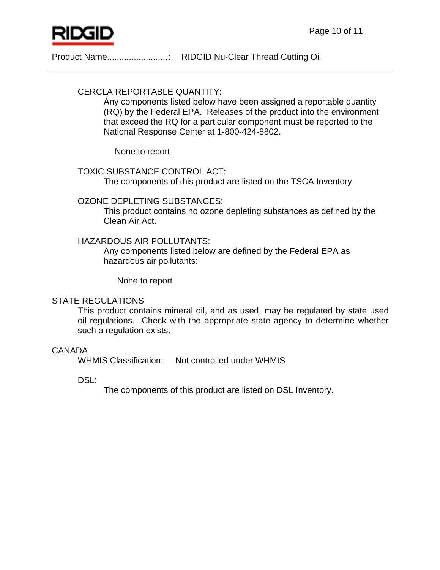## CERCLA REPORTABLE QUANTITY:

Any components listed below have been assigned a reportable quantity (RQ) by the Federal EPA. Releases of the product into the environment that exceed the RQ for a particular component must be reported to the National Response Center at 1-800-424-8802.

None to report

## TOXIC SUBSTANCE CONTROL ACT:

The components of this product are listed on the TSCA Inventory.

### OZONE DEPLETING SUBSTANCES:

This product contains no ozone depleting substances as defined by the Clean Air Act.

## HAZARDOUS AIR POLLUTANTS:

Any components listed below are defined by the Federal EPA as hazardous air pollutants:

None to report

#### STATE REGULATIONS

This product contains mineral oil, and as used, may be regulated by state used oil regulations. Check with the appropriate state agency to determine whether such a regulation exists.

## CANADA

WHMIS Classification: Not controlled under WHMIS

DSL:

The components of this product are listed on DSL Inventory.